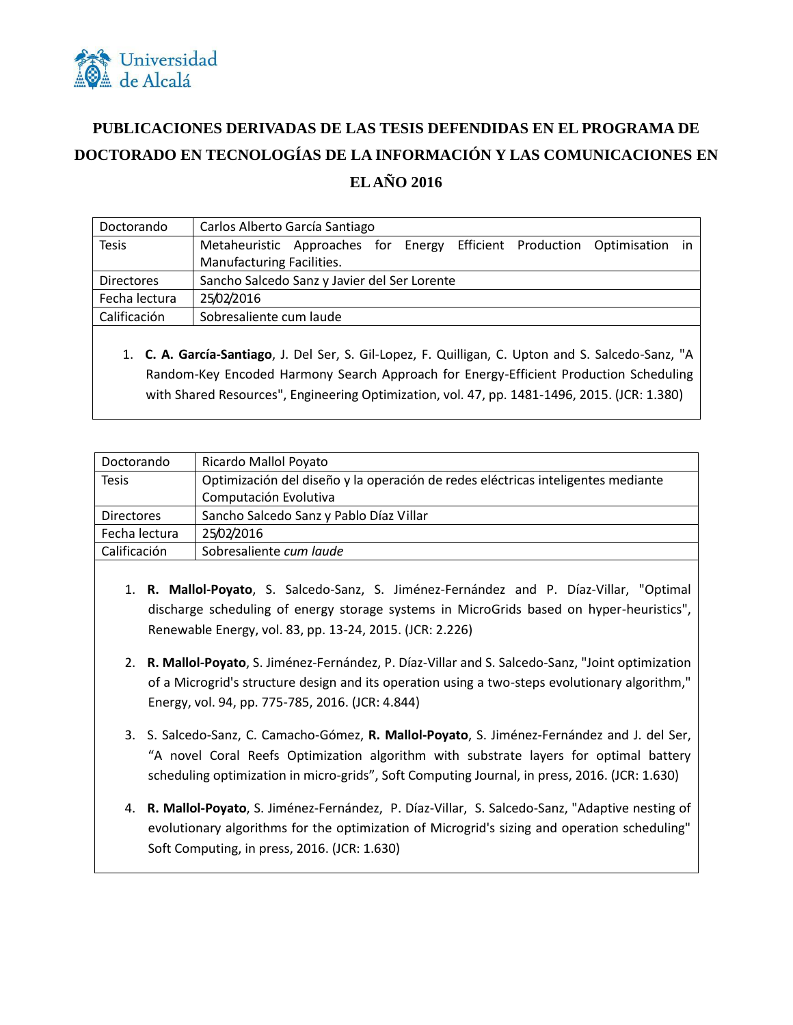

## **PUBLICACIONES DERIVADAS DE LAS TESIS DEFENDIDAS EN EL PROGRAMA DE DOCTORADO EN TECNOLOGÍAS DE LA INFORMACIÓN Y LAS COMUNICACIONES EN EL AÑO 2016**

| Doctorando                                                                                                                              | Carlos Alberto García Santiago                                           |  |
|-----------------------------------------------------------------------------------------------------------------------------------------|--------------------------------------------------------------------------|--|
| <b>Tesis</b>                                                                                                                            | Metaheuristic Approaches for Energy Efficient Production Optimisation in |  |
|                                                                                                                                         | Manufacturing Facilities.                                                |  |
| <b>Directores</b>                                                                                                                       | Sancho Salcedo Sanz y Javier del Ser Lorente                             |  |
| Fecha lectura                                                                                                                           | 25/02/2016                                                               |  |
| Calificación                                                                                                                            | Sobresaliente cum laude                                                  |  |
|                                                                                                                                         |                                                                          |  |
| $\mathbf{A}$ . A set of the set of $\mathbf{A}$ of the set of $\mathbf{A}$ the set of the set of $\mathbf{A}$ . The set of $\mathbf{A}$ |                                                                          |  |

1. **C. A. García-Santiago**, J. Del Ser, S. Gil-Lopez, F. Quilligan, C. Upton and S. Salcedo-Sanz, "A Random-Key Encoded Harmony Search Approach for Energy-Efficient Production Scheduling with Shared Resources", Engineering Optimization, vol. 47, pp. 1481-1496, 2015. (JCR: 1.380)

| Doctorando        | Ricardo Mallol Poyato                                                            |
|-------------------|----------------------------------------------------------------------------------|
| <b>Tesis</b>      | Optimización del diseño y la operación de redes eléctricas inteligentes mediante |
|                   | Computación Evolutiva                                                            |
| <b>Directores</b> | Sancho Salcedo Sanz y Pablo Díaz Villar                                          |
| Fecha lectura     | 25/02/2016                                                                       |
| Calificación      | Sobresaliente cum laude                                                          |
|                   |                                                                                  |

- 1. **R. Mallol-Poyato**, S. Salcedo-Sanz, S. Jiménez-Fernández and P. Díaz-Villar, "Optimal discharge scheduling of energy storage systems in MicroGrids based on hyper-heuristics", Renewable Energy, vol. 83, pp. 13-24, 2015. (JCR: 2.226)
- 2. **R. Mallol-Poyato**, S. Jiménez-Fernández, P. Díaz-Villar and S. Salcedo-Sanz, "Joint optimization of a Microgrid's structure design and its operation using a two-steps evolutionary algorithm," Energy, vol. 94, pp. 775-785, 2016. (JCR: 4.844)
- 3. S. Salcedo-Sanz, C. Camacho-Gómez, **R. Mallol-Poyato**, S. Jiménez-Fernández and J. del Ser, "A novel Coral Reefs Optimization algorithm with substrate layers for optimal battery scheduling optimization in micro-grids", Soft Computing Journal, in press, 2016. (JCR: 1.630)
- 4. **R. Mallol-Poyato**, S. Jiménez-Fernández, P. Díaz-Villar, S. Salcedo-Sanz, "Adaptive nesting of evolutionary algorithms for the optimization of Microgrid's sizing and operation scheduling" Soft Computing, in press, 2016. (JCR: 1.630)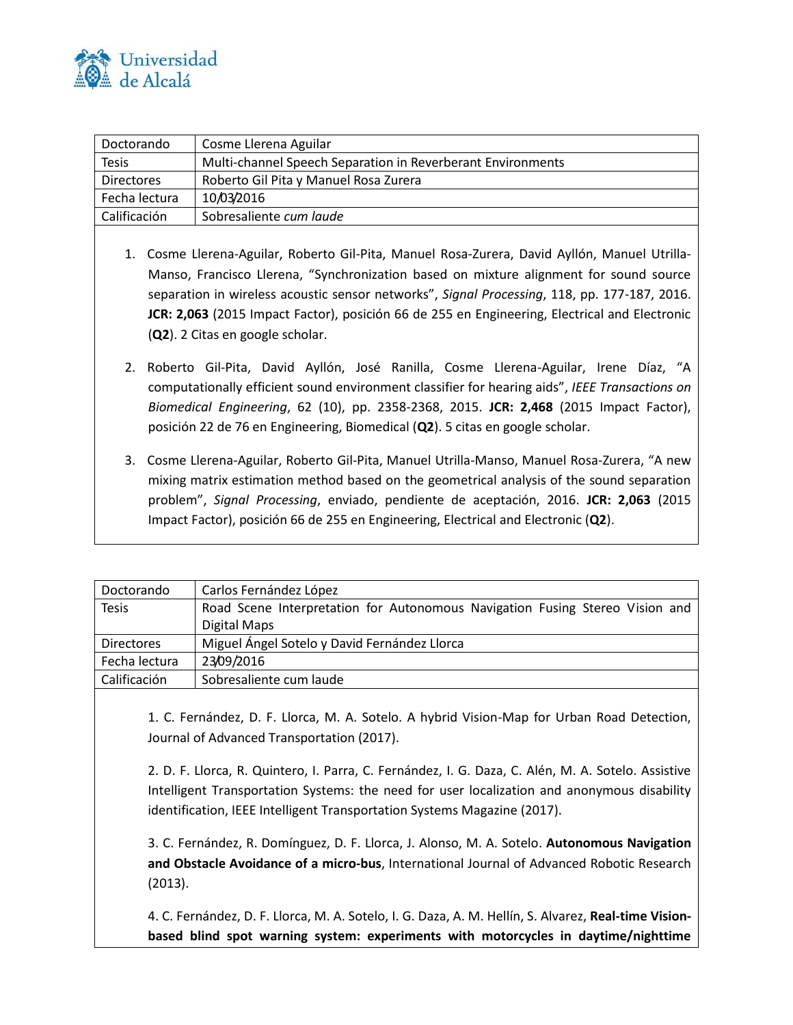

| Doctorando        | Cosme Llerena Aguilar                                       |
|-------------------|-------------------------------------------------------------|
| <b>Tesis</b>      | Multi-channel Speech Separation in Reverberant Environments |
| <b>Directores</b> | Roberto Gil Pita y Manuel Rosa Zurera                       |
| Fecha lectura     | 10/03/2016                                                  |
| Calificación      | Sobresaliente cum laude                                     |

- 1. Cosme Llerena-Aguilar, Roberto Gil-Pita, Manuel Rosa-Zurera, David Ayllón, Manuel Utrilla-Manso, Francisco Llerena, "Synchronization based on mixture alignment for sound source separation in wireless acoustic sensor networks", *Signal Processing*, 118, pp. 177-187, 2016. **JCR: 2,063** (2015 Impact Factor), posición 66 de 255 en Engineering, Electrical and Electronic (**Q2**). 2 Citas en google scholar.
- 2. Roberto Gil-Pita, David Ayllón, José Ranilla, Cosme Llerena-Aguilar, Irene Díaz, "A computationally efficient sound environment classifier for hearing aids", *IEEE Transactions on Biomedical Engineering*, 62 (10), pp. 2358-2368, 2015. **JCR: 2,468** (2015 Impact Factor), posición 22 de 76 en Engineering, Biomedical (**Q2**). 5 citas en google scholar.
- 3. Cosme Llerena-Aguilar, Roberto Gil-Pita, Manuel Utrilla-Manso, Manuel Rosa-Zurera, "A new mixing matrix estimation method based on the geometrical analysis of the sound separation problem", *Signal Processing*, enviado, pendiente de aceptación, 2016. **JCR: 2,063** (2015 Impact Factor), posición 66 de 255 en Engineering, Electrical and Electronic (**Q2**).

| Carlos Fernández López                                                       |
|------------------------------------------------------------------------------|
| Road Scene Interpretation for Autonomous Navigation Fusing Stereo Vision and |
| Digital Maps                                                                 |
| Miguel Ángel Sotelo y David Fernández Llorca                                 |
| 23/09/2016                                                                   |
| Sobresaliente cum laude                                                      |
|                                                                              |

1. C. Fernández, D. F. Llorca, M. A. Sotelo. A hybrid Vision-Map for Urban Road Detection, Journal of Advanced Transportation (2017).

2. D. F. Llorca, R. Quintero, I. Parra, C. Fernández, I. G. Daza, C. Alén, M. A. Sotelo. Assistive Intelligent Transportation Systems: the need for user localization and anonymous disability identification, IEEE Intelligent Transportation Systems Magazine (2017).

3. C. Fernández, R. Domínguez, D. F. Llorca, J. Alonso, M. A. Sotelo. **Autonomous Navigation and Obstacle Avoidance of a micro-bus**, International Journal of Advanced Robotic Research (2013).

4. C. Fernández, D. F. Llorca, M. A. Sotelo, I. G. Daza, A. M. Hellín, S. Alvarez, **Real-time Visionbased blind spot warning system: experiments with motorcycles in daytime/nighttime**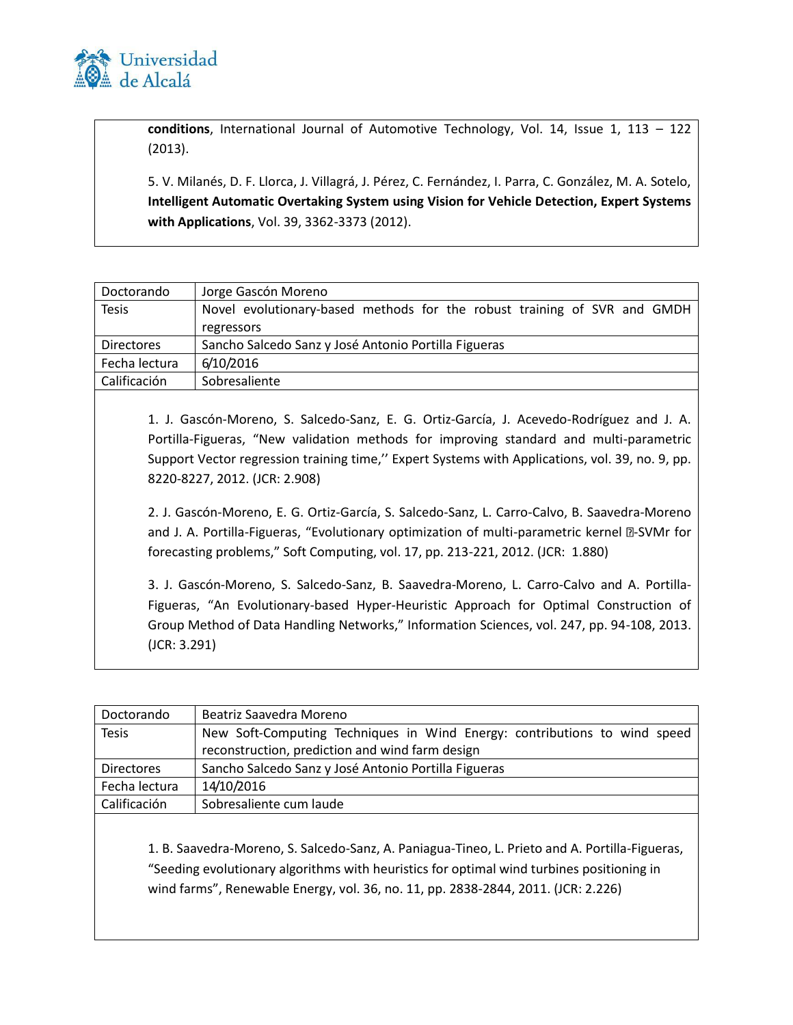

**conditions**, International Journal of Automotive Technology, Vol. 14, Issue 1, 113 – 122 (2013).

5. V. Milanés, D. F. Llorca, J. Villagrá, J. Pérez, C. Fernández, I. Parra, C. González, M. A. Sotelo, **Intelligent Automatic Overtaking System using Vision for Vehicle Detection, Expert Systems with Applications**, Vol. 39, 3362-3373 (2012).

| Doctorando        | Jorge Gascón Moreno                                                      |
|-------------------|--------------------------------------------------------------------------|
| <b>Tesis</b>      | Novel evolutionary-based methods for the robust training of SVR and GMDH |
|                   | regressors                                                               |
| <b>Directores</b> | Sancho Salcedo Sanz y José Antonio Portilla Figueras                     |
| Fecha lectura     | 6/10/2016                                                                |
| Calificación      | Sobresaliente                                                            |

1. J. Gascón-Moreno, S. Salcedo-Sanz, E. G. Ortiz-García, J. Acevedo-Rodríguez and J. A. Portilla-Figueras, "New validation methods for improving standard and multi-parametric Support Vector regression training time,'' Expert Systems with Applications, vol. 39, no. 9, pp. 8220-8227, 2012. (JCR: 2.908)

2. J. Gascón-Moreno, E. G. Ortiz-García, S. Salcedo-Sanz, L. Carro-Calvo, B. Saavedra-Moreno and J. A. Portilla-Figueras, "Evolutionary optimization of multi-parametric kernel @-SVMr for forecasting problems," Soft Computing, vol. 17, pp. 213-221, 2012. (JCR: 1.880)

3. J. Gascón-Moreno, S. Salcedo-Sanz, B. Saavedra-Moreno, L. Carro-Calvo and A. Portilla-Figueras, "An Evolutionary-based Hyper-Heuristic Approach for Optimal Construction of Group Method of Data Handling Networks," Information Sciences, vol. 247, pp. 94-108, 2013. (JCR: 3.291)

| Doctorando        | Beatriz Saavedra Moreno                                                   |
|-------------------|---------------------------------------------------------------------------|
| <b>Tesis</b>      | New Soft-Computing Techniques in Wind Energy: contributions to wind speed |
|                   | reconstruction, prediction and wind farm design                           |
| <b>Directores</b> | Sancho Salcedo Sanz y José Antonio Portilla Figueras                      |
| Fecha lectura     | 14/10/2016                                                                |
| Calificación      | Sobresaliente cum laude                                                   |
|                   |                                                                           |

1. B. Saavedra-Moreno, S. Salcedo-Sanz, A. Paniagua-Tineo, L. Prieto and A. Portilla-Figueras, "Seeding evolutionary algorithms with heuristics for optimal wind turbines positioning in wind farms", Renewable Energy, vol. 36, no. 11, pp. 2838-2844, 2011. (JCR: 2.226)